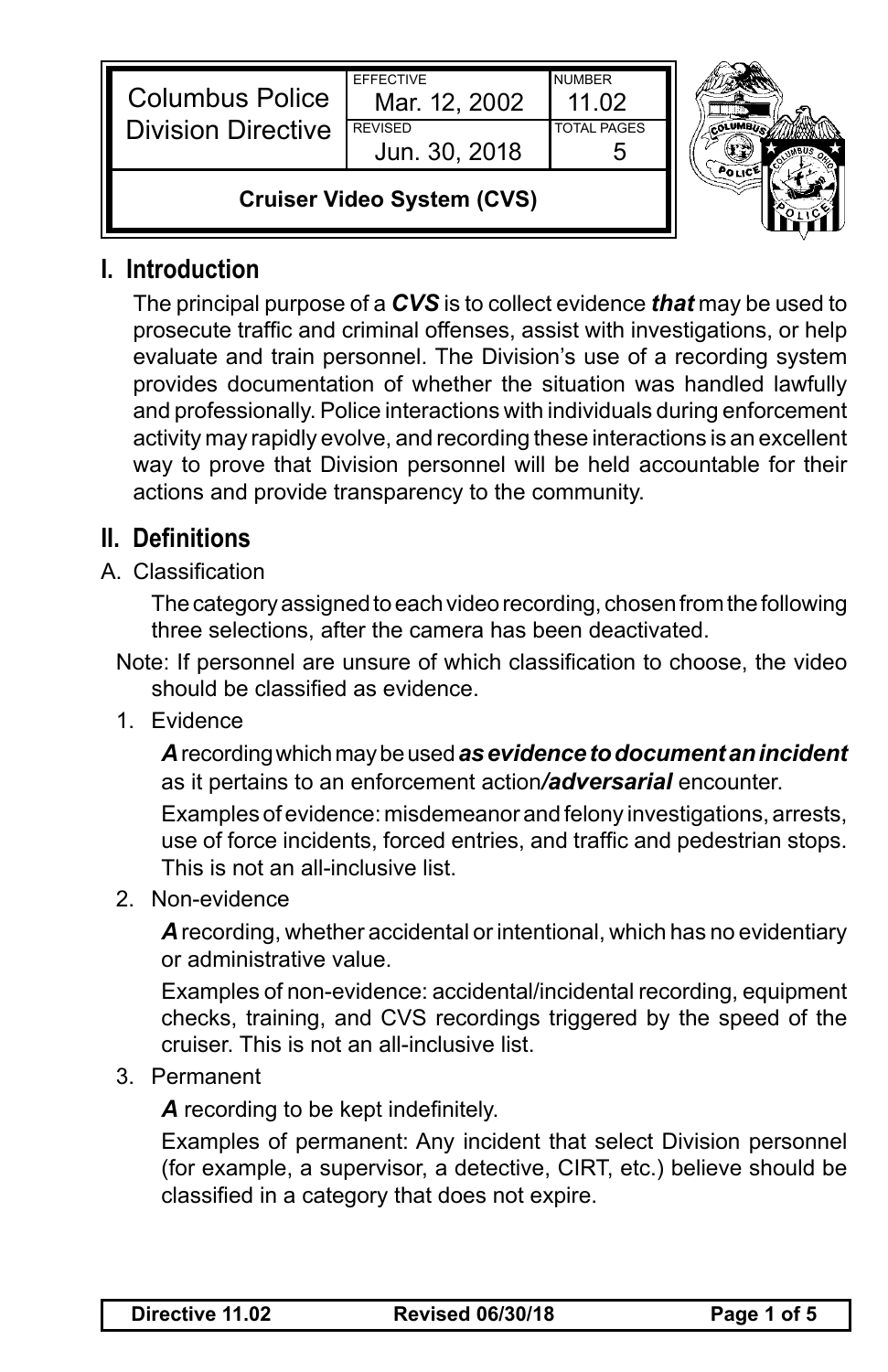| <b>Columbus Police</b><br><b>Division Directive</b> | <b>FFFFCTIVE</b><br>Mar. 12, 2002<br><b>REVISED</b><br>Jun. 30, 2018 | <b>NUMBER</b><br>11.02<br><b>TOTAL PAGES</b> |  |
|-----------------------------------------------------|----------------------------------------------------------------------|----------------------------------------------|--|
| <b>Cruiser Video System (CVS)</b>                   |                                                                      |                                              |  |

## **I. Introduction**

The principal purpose of a *CVS* is to collect evidence *that* may be used to prosecute traffic and criminal offenses, assist with investigations, or help evaluate and train personnel. The Division's use of a recording system provides documentation of whether the situation was handled lawfully and professionally. Police interactions with individuals during enforcement activity may rapidly evolve, and recording these interactions is an excellent way to prove that Division personnel will be held accountable for their actions and provide transparency to the community.

## **II. Definitions**

A. Classification

The category assigned to each video recording, chosen from the following three selections, after the camera has been deactivated.

- Note: If personnel are unsure of which classification to choose, the video should be classified as evidence.
- 1. Evidence

*A* recording which may be used *as evidence to document an incident* as it pertains to an enforcement action*/adversarial* encounter.

Examples of evidence: misdemeanor and felony investigations, arrests, use of force incidents, forced entries, and traffic and pedestrian stops. This is not an all-inclusive list.

2. Non-evidence

*A* recording, whether accidental or intentional, which has no evidentiary or administrative value.

Examples of non-evidence: accidental/incidental recording, equipment checks, training, and CVS recordings triggered by the speed of the cruiser. This is not an all-inclusive list.

3. Permanent

*A* recording to be kept indefinitely.

Examples of permanent: Any incident that select Division personnel (for example, a supervisor, a detective, CIRT, etc.) believe should be classified in a category that does not expire.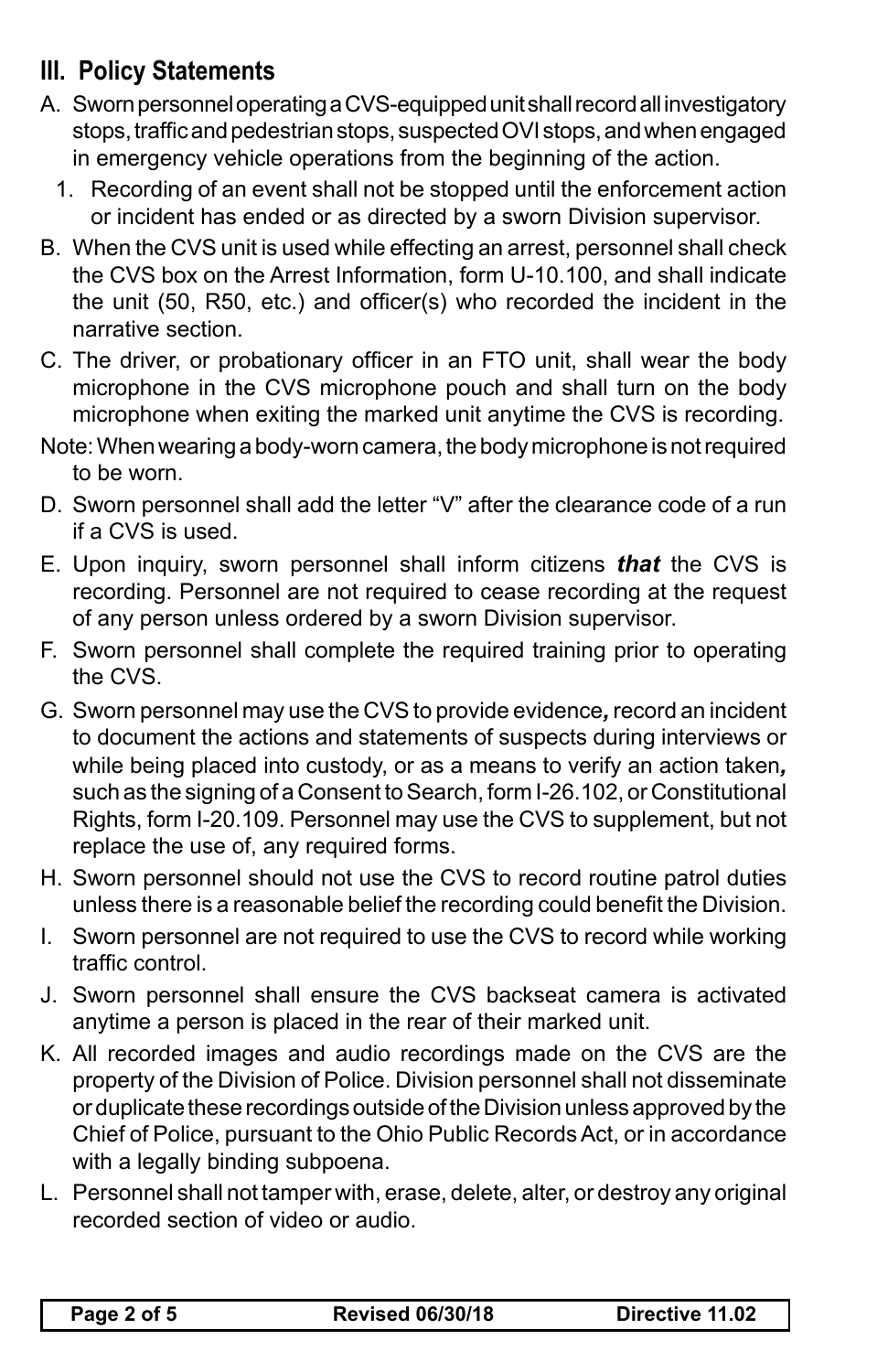## **III. Policy Statements**

- A. Sworn personnel operating a CVS-equipped unit shall record all investigatory stops, traffic and pedestrian stops, suspected OVI stops, and when engaged in emergency vehicle operations from the beginning of the action.
	- 1. Recording of an event shall not be stopped until the enforcement action or incident has ended or as directed by a sworn Division supervisor.
- B. When the CVS unit is used while effecting an arrest, personnel shall check the CVS box on the Arrest Information, form U-10.100, and shall indicate the unit (50, R50, etc.) and officer(s) who recorded the incident in the narrative section.
- C. The driver, or probationary officer in an FTO unit, shall wear the body microphone in the CVS microphone pouch and shall turn on the body microphone when exiting the marked unit anytime the CVS is recording.
- Note: When wearing a body-worn camera, the body microphone is not required to be worn.
- D. Sworn personnel shall add the letter "V" after the clearance code of a run if a CVS is used.
- E. Upon inquiry, sworn personnel shall inform citizens *that* the CVS is recording. Personnel are not required to cease recording at the request of any person unless ordered by a sworn Division supervisor.
- F. Sworn personnel shall complete the required training prior to operating the CVS.
- G. Sworn personnel may use the CVS to provide evidence*,* record an incident to document the actions and statements of suspects during interviews or while being placed into custody, or as a means to verify an action taken*,* such as the signing of a Consent to Search, form I-26.102, or Constitutional Rights, form I-20.109. Personnel may use the CVS to supplement, but not replace the use of, any required forms.
- H. Sworn personnel should not use the CVS to record routine patrol duties unless there is a reasonable belief the recording could benefit the Division.
- I. Sworn personnel are not required to use the CVS to record while working traffic control.
- J. Sworn personnel shall ensure the CVS backseat camera is activated anytime a person is placed in the rear of their marked unit.
- K. All recorded images and audio recordings made on the CVS are the property of the Division of Police. Division personnel shall not disseminate or duplicate these recordings outside of the Division unless approved by the Chief of Police, pursuant to the Ohio Public Records Act, or in accordance with a legally binding subpoena.
- L. Personnel shall not tamper with, erase, delete, alter, or destroy any original recorded section of video or audio.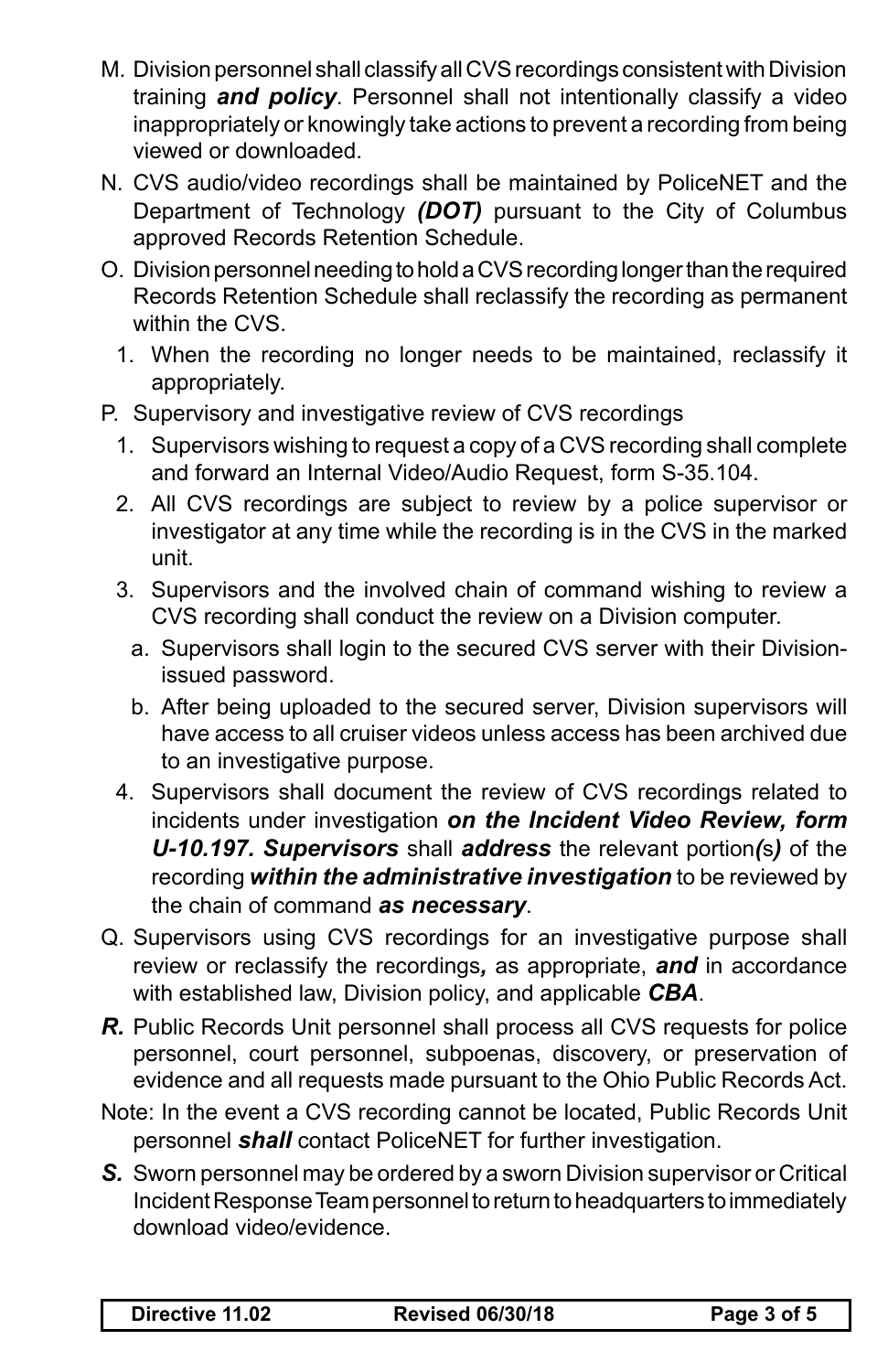- M. Division personnel shall classify all CVS recordings consistent with Division training *and policy*. Personnel shall not intentionally classify a video inappropriately or knowingly take actions to prevent a recording from being viewed or downloaded.
- N. CVS audio/video recordings shall be maintained by PoliceNET and the Department of Technology *(DOT)* pursuant to the City of Columbus approved Records Retention Schedule.
- O. Division personnel needing to hold a CVS recording longer than the required Records Retention Schedule shall reclassify the recording as permanent within the CVS.
	- 1. When the recording no longer needs to be maintained, reclassify it appropriately.
- P. Supervisory and investigative review of CVS recordings
	- 1. Supervisors wishing to request a copy of a CVS recording shall complete and forward an Internal Video/Audio Request, form S-35.104.
	- 2. All CVS recordings are subject to review by a police supervisor or investigator at any time while the recording is in the CVS in the marked unit.
	- 3. Supervisors and the involved chain of command wishing to review a CVS recording shall conduct the review on a Division computer.
		- a. Supervisors shall login to the secured CVS server with their Divisionissued password.
		- b. After being uploaded to the secured server, Division supervisors will have access to all cruiser videos unless access has been archived due to an investigative purpose.
	- 4. Supervisors shall document the review of CVS recordings related to incidents under investigation *on the Incident Video Review, form U-10.197. Supervisors* shall *address* the relevant portion*(*s*)* of the recording *within the administrative investigation* to be reviewed by the chain of command *as necessary*.
- Q. Supervisors using CVS recordings for an investigative purpose shall review or reclassify the recordings*,* as appropriate, *and* in accordance with established law, Division policy, and applicable *CBA*.
- *R.* Public Records Unit personnel shall process all CVS requests for police personnel, court personnel, subpoenas, discovery, or preservation of evidence and all requests made pursuant to the Ohio Public Records Act.
- Note: In the event a CVS recording cannot be located, Public Records Unit personnel *shall* contact PoliceNET for further investigation.
- *S.* Sworn personnel may be ordered by a sworn Division supervisor or Critical Incident Response Team personnel to return to headquarters to immediately download video/evidence.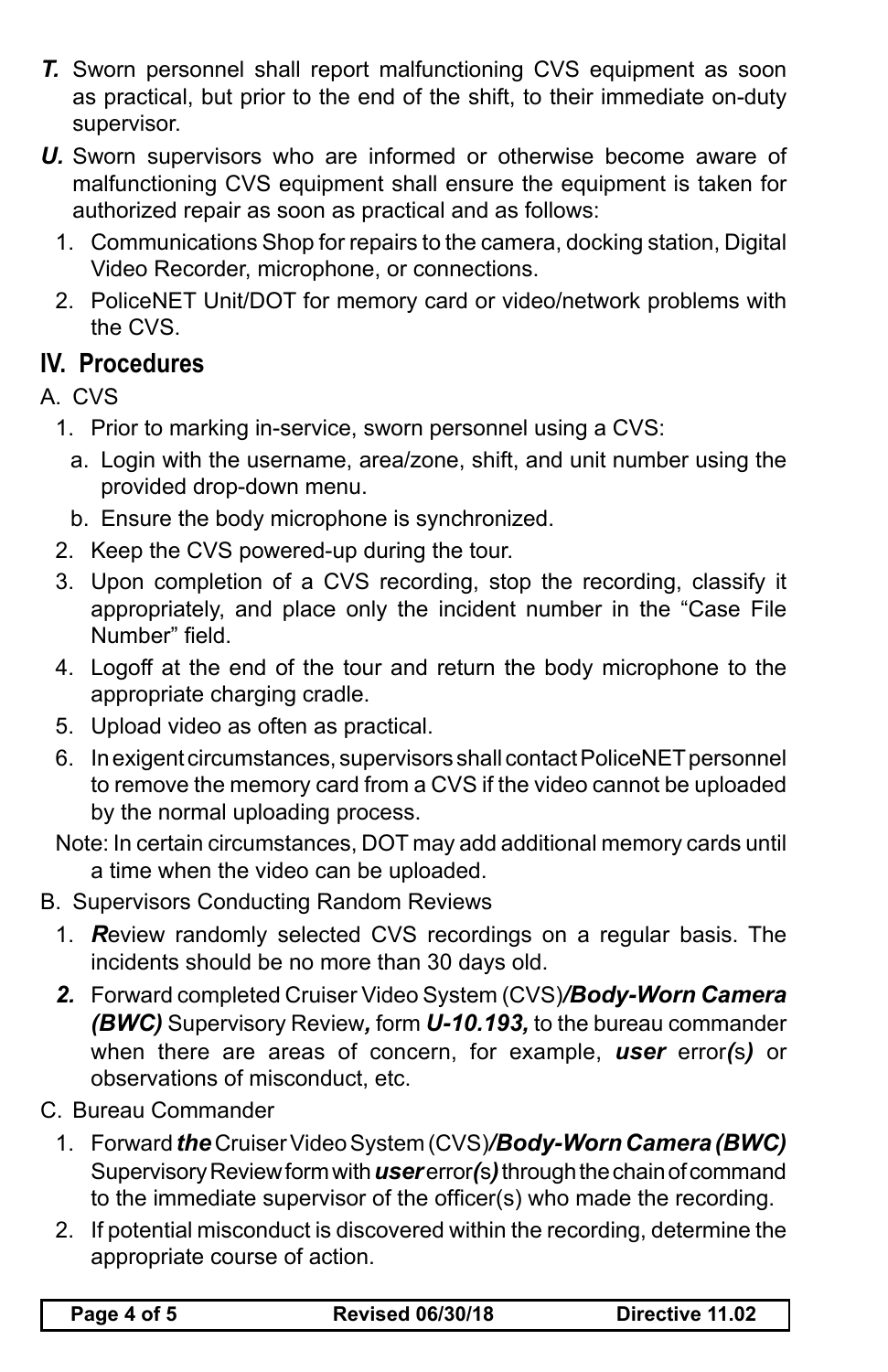- *T.* Sworn personnel shall report malfunctioning CVS equipment as soon as practical, but prior to the end of the shift, to their immediate on-duty supervisor.
- *U.* Sworn supervisors who are informed or otherwise become aware of malfunctioning CVS equipment shall ensure the equipment is taken for authorized repair as soon as practical and as follows:
	- 1. Communications Shop for repairs to the camera, docking station, Digital Video Recorder, microphone, or connections.
	- 2. PoliceNET Unit/DOT for memory card or video/network problems with the CVS.

## **IV. Procedures**

A. CVS

- 1. Prior to marking in-service, sworn personnel using a CVS:
	- a. Login with the username, area/zone, shift, and unit number using the provided drop-down menu.
- b. Ensure the body microphone is synchronized.
- 2. Keep the CVS powered-up during the tour.
- 3. Upon completion of a CVS recording, stop the recording, classify it appropriately, and place only the incident number in the "Case File Number" field.
- 4. Logoff at the end of the tour and return the body microphone to the appropriate charging cradle.
- 5. Upload video as often as practical.
- 6. In exigent circumstances, supervisors shall contact PoliceNET personnel to remove the memory card from a CVS if the video cannot be uploaded by the normal uploading process.

Note: In certain circumstances, DOT may add additional memory cards until a time when the video can be uploaded.

- B. Supervisors Conducting Random Reviews
	- 1. *R*eview randomly selected CVS recordings on a regular basis. The incidents should be no more than 30 days old.
	- *2.* Forward completed Cruiser Video System (CVS)*/Body-Worn Camera (BWC)* Supervisory Review*,* form *U-10.193,* to the bureau commander when there are areas of concern, for example, *user* error*(*s*)* or observations of misconduct, etc.
- C. Bureau Commander
	- 1. Forward *the* Cruiser Video System (CVS)*/Body-Worn Camera (BWC)* Supervisory Review form with *user* error*(*s*)* through the chain of command to the immediate supervisor of the officer(s) who made the recording.
	- 2. If potential misconduct is discovered within the recording, determine the appropriate course of action.